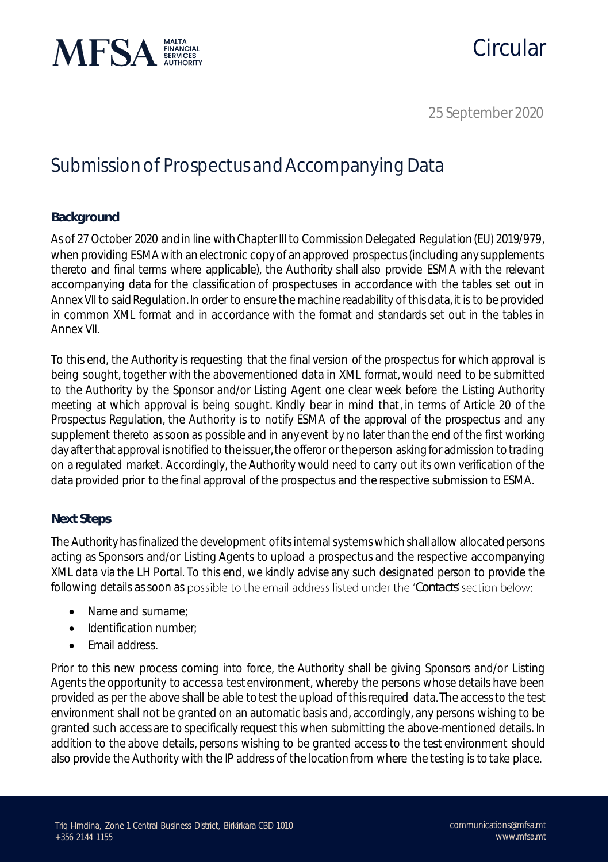

# Circular

25 September 2020

## Submission of Prospectus and Accompanying Data

### **Background**

As of 27 October 2020 and in line with Chapter III to Commission Delegated Regulation (EU) 2019/979, when providing ESMA with an electronic copy of an approved prospectus (including any supplements thereto and final terms where applicable), the Authority shall also provide ESMA with the relevant accompanying data for the classification of prospectuses in accordance with the tables set out in Annex VII to said Regulation. In order to ensure the machine readability of this data, it is to be provided in common XML format and in accordance with the format and standards set out in the tables in Annex VII.

To this end, the Authority is requesting that the final version of the prospectus for which approval is being sought, together with the abovementioned data in XML format, would need to be submitted to the Authority by the Sponsor and/or Listing Agent one clear week before the Listing Authority meeting at which approval is being sought. Kindly bear in mind that, in terms of Article 20 of the Prospectus Regulation, the Authority is to notify ESMA of the approval of the prospectus and any supplement thereto as soon as possible and in any event by no later than the end of the first working day after that approval is notified to the issuer, the offeror or the person asking for admission to trading on a regulated market. Accordingly, the Authority would need to carry out its own verification of the data provided prior to the final approval of the prospectus and the respective submission to ESMA.

### **Next Steps**

The Authority has finalized the development of its internal systems which shall allow allocated persons acting as Sponsors and/or Listing Agents to upload a prospectus and the respective accompanying XML data via the LH Portal. To this end, we kindly advise any such designated person to provide the following details as soon as possible to the email address listed under the 'Contacts' section below:

- Name and surname:
- Identification number;
- Email address.

Prior to this new process coming into force, the Authority shall be giving Sponsors and/or Listing Agents the opportunity to access a test environment, whereby the persons whose details have been provided as per the above shall be able to test the upload of this required data. The access to the test environment shall not be granted on an automatic basis and, accordingly, any persons wishing to be granted such access are to specifically request this when submitting the above-mentioned details. In addition to the above details, persons wishing to be granted access to the test environment should also provide the Authority with the IP address of the location from where the testing is to take place.